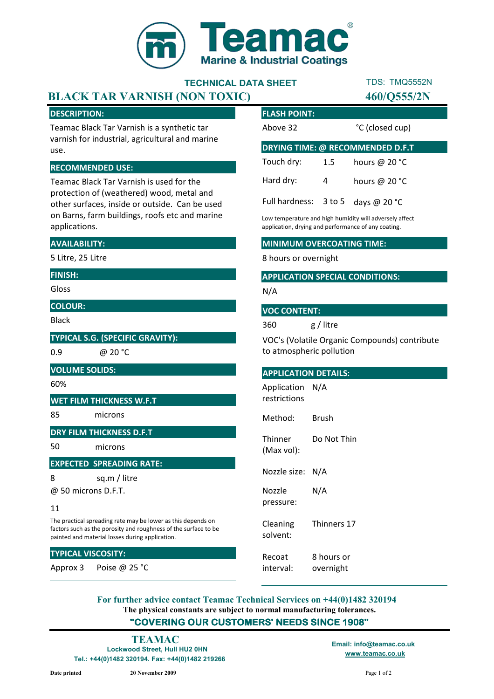

# TECHNICAL DATA SHEET

# BLACK TAR VARNISH (NON TOXIC) 460/Q555/2N

# DESCRIPTION:

Teamac Black Tar Varnish is a synthetic tar varnish for industrial, agricultural and marine use.

### RECOMMENDED USE:

Teamac Black Tar Varnish is used for the protection of (weathered) wood, metal and other surfaces, inside or outside. Can be used on Barns, farm buildings, roofs etc and marine applications.

# AVAILABILITY:

5 Litre, 25 Litre

# FINISH:

Gloss

### COLOUR:

Black

TYPICAL S.G. (SPECIFIC GRAVITY):

0.9 @ 20 °C

#### VOLUME SOLIDS:

60%

#### WET FILM THICKNESS W.F.T

85 microns

# DRY FILM THICKNESS D.F.T

50 microns

#### EXPECTED SPREADING RATE:

8 sq.m / litre

@ 50 microns D.F.T.

#### 11

The practical spreading rate may be lower as this depends on factors such as the porosity and roughness of the surface to be painted and material losses during application.

# TYPICAL VISCOSITY:

Approx 3 Poise @ 25 °C

| <b>FLASH POINT:</b>                     |     |                 |  |
|-----------------------------------------|-----|-----------------|--|
| Above 32                                |     | °C (closed cup) |  |
| <b>DRYING TIME: @ RECOMMENDED D.F.T</b> |     |                 |  |
| Touch dry:                              | 1.5 | hours @ $20 °C$ |  |
| Hard dry:                               | 4   | hours @ $20 °C$ |  |
| Full hardness: 3 to 5                   |     | days @ 20 °C    |  |

TDS: TMQ5552N

Low temperature and high humidity will adversely affect application, drying and performance of any coating.

# MINIMUM OVERCOATING TIME:

8 hours or overnight

# APPLICATION SPECIAL CONDITIONS:

N/A

#### VOC CONTENT:

360 g / litre

VOC's (Volatile Organic Compounds) contribute to atmospheric pollution

#### APPLICATION DETAILS:

Application N/A restrictions

Method: Brush

Thinner (Max vol): Do Not Thin

Nozzle size: N/A

Nozzle pressure: N/A

Cleaning solvent: Thinners 17

Recoat interval: 8 hours or overnight

The physical constants are subject to normal manufacturing tolerances. "COVERING OUR CUSTOMERS' NEEDS SINCE 1908" For further advice contact Teamac Technical Services on +44(0)1482 320194

Lockwood Street, Hull HU2 0HN Tel.: +44(0)1482 320194. Fax: +44(0)1482 219266

www.teamac.co.uk TEAMAC Email: info@teamac.co.uk